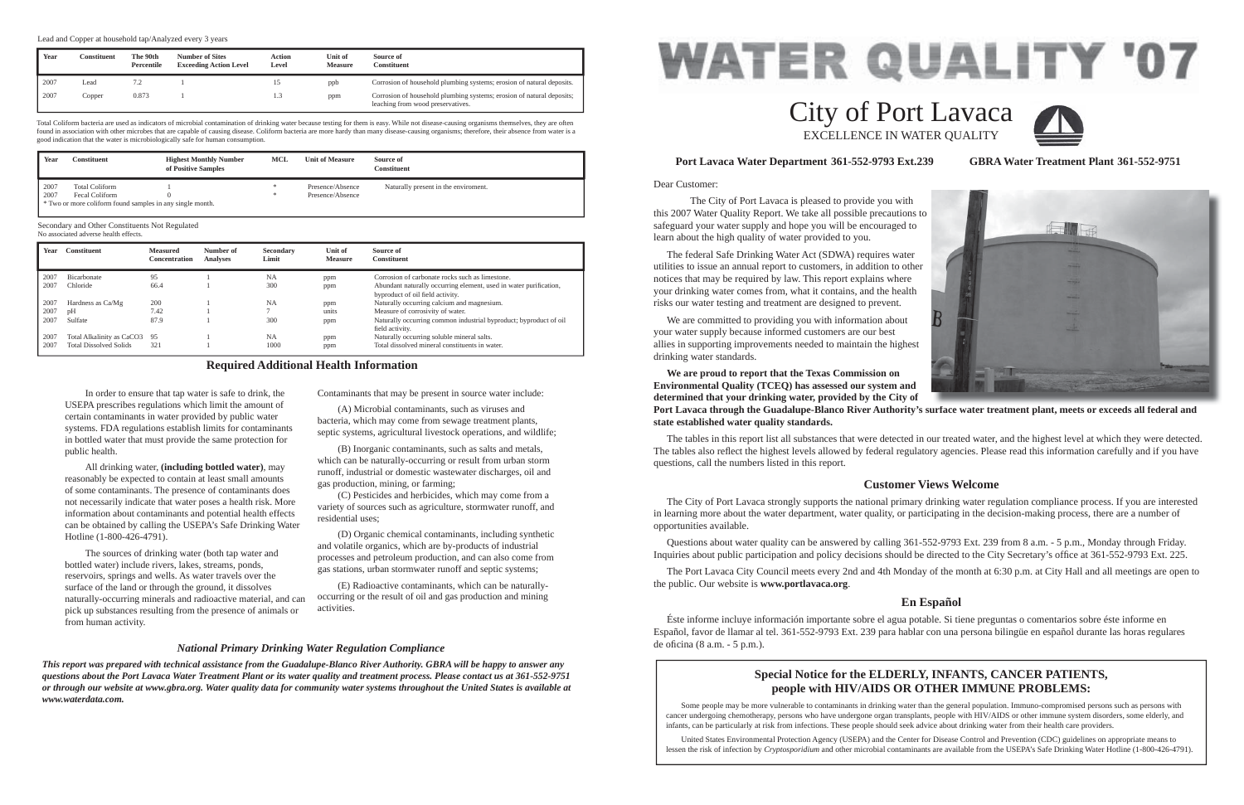Dear Customer:

 The City of Port Lavaca is pleased to provide you with this 2007 Water Quality Report. We take all possible precautions to safeguard your water supply and hope you will be encouraged to learn about the high quality of water provided to you.

 The federal Safe Drinking Water Act (SDWA) requires water utilities to issue an annual report to customers, in addition to other notices that may be required by law. This report explains where your drinking water comes from, what it contains, and the health risks our water testing and treatment are designed to prevent.

 We are committed to providing you with information about your water supply because informed customers are our best allies in supporting improvements needed to maintain the highest drinking water standards.

 Questions about water quality can be answered by calling 361-552-9793 Ext. 239 from 8 a.m. - 5 p.m., Monday through Friday. Inquiries about public participation and policy decisions should be directed to the City Secretary's office at 361-552-9793 Ext. 225.

**We are proud to report that the Texas Commission on Environmental Quality (TCEQ) has assessed our system and determined that your drinking water, provided by the City of state established water quality standards.**

 Éste informe incluye información importante sobre el agua potable. Si tiene preguntas o comentarios sobre éste informe en Español, favor de llamar al tel. 361-552-9793 Ext. 239 para hablar con una persona bilingüe en español durante las horas regulares de oficina (8 a.m. - 5 p.m.).

The tables in this report list all substances that were detected in our treated water, and the highest level at which they were detected. The tables also reflect the highest levels allowed by federal regulatory agencies. Please read this information carefully and if you have questions, call the numbers listed in this report.

### **Port Lavaca Water Department 361-552-9793 Ext.239 GBRA Water Treatment Plant 361-552-9751**

# **Customer Views Welcome**

 The City of Port Lavaca strongly supports the national primary drinking water regulation compliance process. If you are interested in learning more about the water department, water quality, or participating in the decision-making process, there are a number of opportunities available.

 The Port Lavaca City Council meets every 2nd and 4th Monday of the month at 6:30 p.m. at City Hall and all meetings are open to the public. Our website is **www.portlavaca.org**.

# **En Español**

# City of Port Lavaca EXCELLENCE IN WATER QUALITY

 In order to ensure that tap water is safe to drink, the USEPA prescribes regulations which limit the amount of certain contaminants in water provided by public water systems. FDA regulations establish limits for contaminants in bottled water that must provide the same protection for public health.

 All drinking water, **(including bottled water)**, may reasonably be expected to contain at least small amounts of some contaminants. The presence of contaminants does not necessarily indicate that water poses a health risk. More information about contaminants and potential health effects can be obtained by calling the USEPA's Safe Drinking Water Hotline (1-800-426-4791).

 The sources of drinking water (both tap water and bottled water) include rivers, lakes, streams, ponds, reservoirs, springs and wells. As water travels over the surface of the land or through the ground, it dissolves naturally-occurring minerals and radioactive material, and can pick up substances resulting from the presence of animals or from human activity.

Contaminants that may be present in source water include:

 (A) Microbial contaminants, such as viruses and bacteria, which may come from sewage treatment plants, septic systems, agricultural livestock operations, and wildlife;

 (B) Inorganic contaminants, such as salts and metals, which can be naturally-occurring or result from urban storm runoff, industrial or domestic wastewater discharges, oil and gas production, mining, or farming;

 (C) Pesticides and herbicides, which may come from a variety of sources such as agriculture, stormwater runoff, and residential uses;

 (D) Organic chemical contaminants, including synthetic and volatile organics, which are by-products of industrial processes and petroleum production, and can also come from gas stations, urban stormwater runoff and septic systems;

 (E) Radioactive contaminants, which can be naturallyoccurring or the result of oil and gas production and mining activities.

### **Required Additional Health Information**

#### *National Primary Drinking Water Regulation Compliance*

*This report was prepared with technical assistance from the Guadalupe-Blanco River Authority. GBRA will be happy to answer any questions about the Port Lavaca Water Treatment Plant or its water quality and treatment process. Please contact us at 361-552-9751 or through our website at www.gbra.org. Water quality data for community water systems throughout the United States is available at www.waterdata.com.*

# **Special Notice for the ELDERLY, INFANTS, CANCER PATIENTS, people with HIV/AIDS OR OTHER IMMUNE PROBLEMS:**

Some people may be more vulnerable to contaminants in drinking water than the general population. Immuno-compromised persons such as persons with cancer undergoing chemotherapy, persons who have undergone organ transplants, people with HIV/AIDS or other immune system disorders, some elderly, and infants, can be particularly at risk from infections. These people should seek advice about drinking water from their health care providers.

 United States Environmental Protection Agency (USEPA) and the Center for Disease Control and Prevention (CDC) guidelines on appropriate means to lessen the risk of infection by *Cryptosporidium* and other microbial contaminants are available from the USEPA's Safe Drinking Water Hotline (1-800-426-4791).







Port Lavaca through the Guadalupe-Blanco River Authority's surface water treatment plant, meets or exceeds all federal and

Total Coliform bacteria are used as indicators of microbial contamination of drinking water because testing for them is easy. While not disease-causing organisms themselves, they are often found in association with other microbes that are capable of causing disease. Coliform bacteria are more hardy than many disease-causing organisms; therefore, their absence from water is a good indication that the water is microbiologically safe for human consumption.

| Year | Constituent                                               | <b>Highest Monthly Number</b><br>of Positive Samples | MCL | <b>Unit of Measure</b> | Source of<br>Constituent             |
|------|-----------------------------------------------------------|------------------------------------------------------|-----|------------------------|--------------------------------------|
| 2007 | <b>Total Coliform</b>                                     |                                                      |     | Presence/Absence       | Naturally present in the enviroment. |
| 2007 | Fecal Coliform                                            |                                                      |     | Presence/Absence       |                                      |
|      | * Two or more coliform found samples in any single month. |                                                      |     |                        |                                      |

| Year | <b>Constituent</b>            | <b>Measured</b><br><b>Concentration</b> | Number of<br><b>Analyses</b> | Secondary<br>Limit | <b>Unit of</b><br><b>Measure</b> | Source of<br><b>Constituent</b>                                                                       |
|------|-------------------------------|-----------------------------------------|------------------------------|--------------------|----------------------------------|-------------------------------------------------------------------------------------------------------|
| 2007 | <b>Bicarbonate</b>            | 95                                      |                              | <b>NA</b>          | ppm                              | Corrosion of carbonate rocks such as limestone.                                                       |
| 2007 | Chloride                      | 66.4                                    |                              | 300                | ppm                              | Abundant naturally occurring element, used in water purification,<br>byproduct of oil field activity. |
| 2007 | Hardness as Ca/Mg             | 200                                     |                              | NA                 | ppm                              | Naturally occurring calcium and magnesium.                                                            |
| 2007 | pH                            | 7.42                                    |                              |                    | units                            | Measure of corrosivity of water.                                                                      |
| 2007 | Sulfate                       | 87.9                                    |                              | 300                | ppm                              | Naturally occurring common industrial byproduct; byproduct of oil<br>field activity.                  |
| 2007 | Total Alkalinity as CaCO3     | -95                                     |                              | <b>NA</b>          | ppm                              | Naturally occurring soluble mineral salts.                                                            |
| 2007 | <b>Total Dissolved Solids</b> | 321                                     |                              | 1000               | ppm                              | Total dissolved mineral constituents in water.                                                        |

Secondary and Other Constituents Not Regulated No associated adverse health effects.

| Year | Constituent | The 90th<br>Percentile | <b>Number of Sites</b><br><b>Exceeding Action Level</b> | <b>Action</b><br>Level | Unit of<br><b>Measure</b> | Source of<br>Constituent                                                                                   |
|------|-------------|------------------------|---------------------------------------------------------|------------------------|---------------------------|------------------------------------------------------------------------------------------------------------|
| 2007 | Lead        | 7.2                    |                                                         |                        | ppb                       | Corrosion of household plumbing systems; erosion of natural deposits.                                      |
| 2007 | Copper      | 0.873                  |                                                         |                        | ppm                       | Corrosion of household plumbing systems; erosion of natural deposits;<br>leaching from wood preservatives. |

Lead and Copper at household tap/Analyzed every 3 years